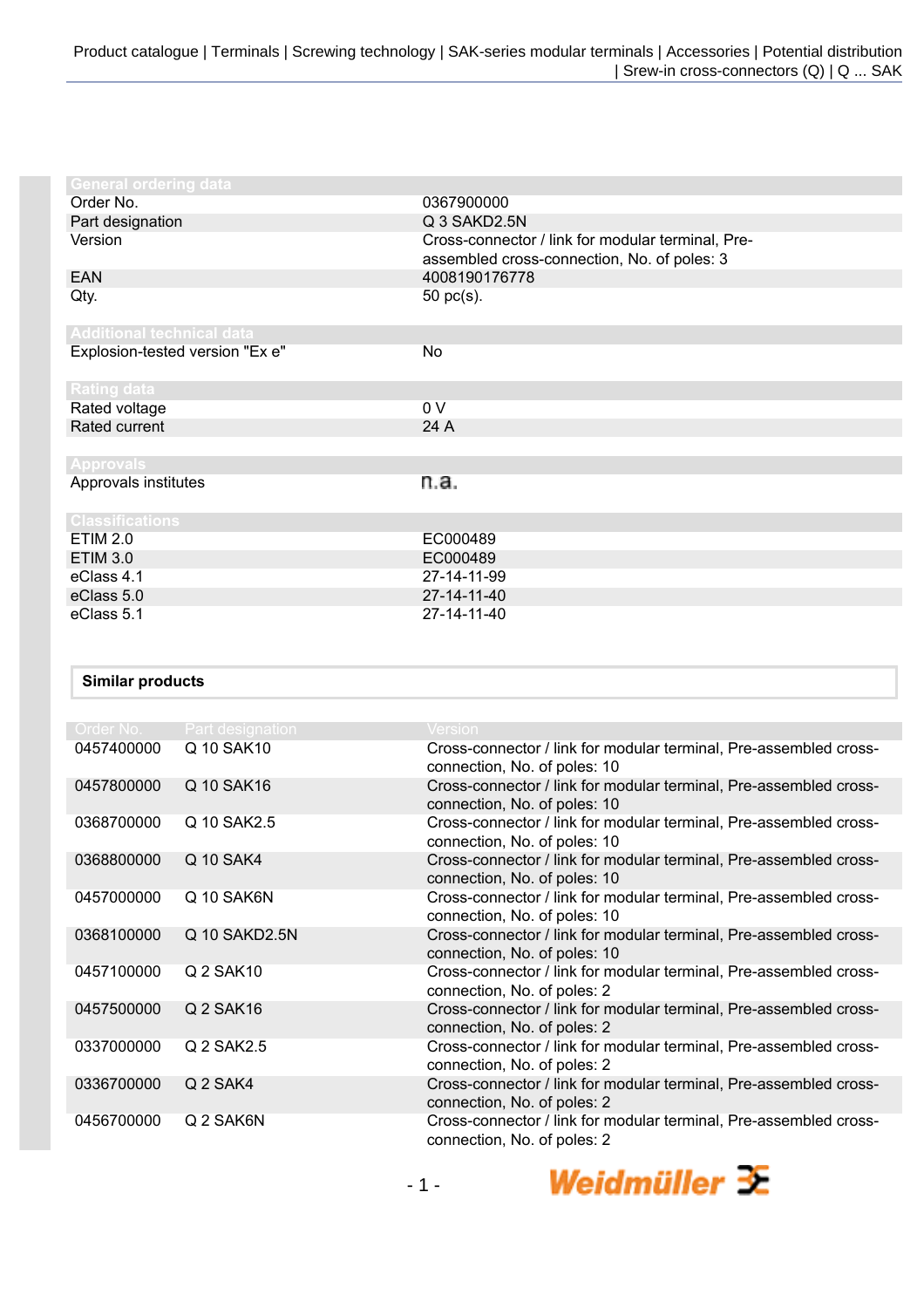| <b>General ordering data</b>     |                                                                                                  |
|----------------------------------|--------------------------------------------------------------------------------------------------|
| Order No.                        | 0367900000                                                                                       |
| Part designation                 | Q 3 SAKD2.5N                                                                                     |
| Version                          | Cross-connector / link for modular terminal, Pre-<br>assembled cross-connection, No. of poles: 3 |
| <b>EAN</b>                       | 4008190176778                                                                                    |
| Qty.                             | 50 pc(s).                                                                                        |
| <b>Additional technical data</b> |                                                                                                  |
| Explosion-tested version "Ex e"  | No                                                                                               |
| Rating data                      |                                                                                                  |
| Rated voltage                    | 0 V                                                                                              |
| Rated current                    | 24 A                                                                                             |
|                                  |                                                                                                  |
| <b>Approvals</b>                 |                                                                                                  |
| Approvals institutes             | n.a.                                                                                             |
| <b>Classifications</b>           |                                                                                                  |
| <b>ETIM 2.0</b>                  | EC000489                                                                                         |
| <b>ETIM 3.0</b>                  | EC000489                                                                                         |
| eClass 4.1                       | 27-14-11-99                                                                                      |
| eClass 5.0                       | 27-14-11-40                                                                                      |
| eClass 5.1                       | 27-14-11-40                                                                                      |

## **Similar products**

| Order No.  | <b>Part designation</b> | <b>Version</b>                                                                                    |
|------------|-------------------------|---------------------------------------------------------------------------------------------------|
| 0457400000 | Q 10 SAK10              | Cross-connector / link for modular terminal, Pre-assembled cross-<br>connection, No. of poles: 10 |
| 0457800000 | Q 10 SAK16              | Cross-connector / link for modular terminal, Pre-assembled cross-<br>connection, No. of poles: 10 |
| 0368700000 | Q 10 SAK2.5             | Cross-connector / link for modular terminal, Pre-assembled cross-<br>connection, No. of poles: 10 |
| 0368800000 | Q 10 SAK4               | Cross-connector / link for modular terminal, Pre-assembled cross-<br>connection, No. of poles: 10 |
| 0457000000 | Q 10 SAK6N              | Cross-connector / link for modular terminal, Pre-assembled cross-<br>connection, No. of poles: 10 |
| 0368100000 | Q 10 SAKD2.5N           | Cross-connector / link for modular terminal, Pre-assembled cross-<br>connection, No. of poles: 10 |
| 0457100000 | Q 2 SAK10               | Cross-connector / link for modular terminal, Pre-assembled cross-<br>connection, No. of poles: 2  |
| 0457500000 | Q 2 SAK16               | Cross-connector / link for modular terminal, Pre-assembled cross-<br>connection, No. of poles: 2  |
| 0337000000 | Q 2 SAK2.5              | Cross-connector / link for modular terminal, Pre-assembled cross-<br>connection, No. of poles: 2  |
| 0336700000 | Q 2 SAK4                | Cross-connector / link for modular terminal, Pre-assembled cross-<br>connection, No. of poles: 2  |
| 0456700000 | Q 2 SAK6N               | Cross-connector / link for modular terminal, Pre-assembled cross-<br>connection, No. of poles: 2  |